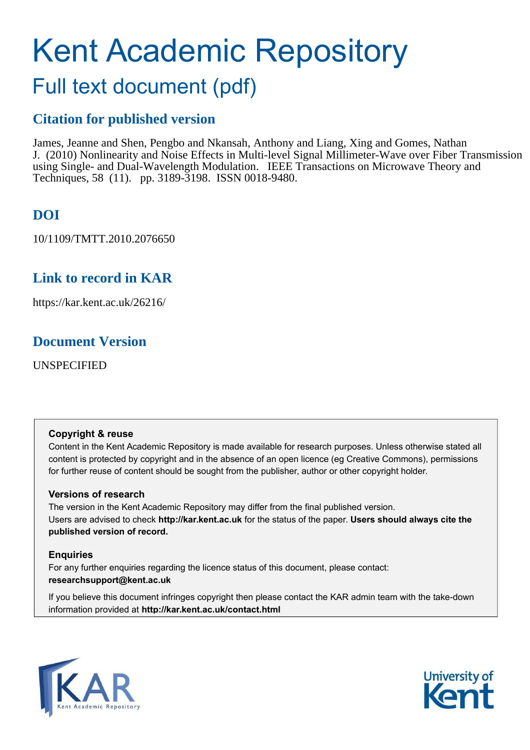# Kent Academic Repository

# Full text document (pdf)

# **Citation for published version**

James, Jeanne and Shen, Pengbo and Nkansah, Anthony and Liang, Xing and Gomes, Nathan J. (2010) Nonlinearity and Noise Effects in Multi-level Signal Millimeter-Wave over Fiber Transmission using Single- and Dual-Wavelength Modulation. IEEE Transactions on Microwave Theory and Techniques, 58 (11). pp. 3189-3198. ISSN 0018-9480.

# **DOI**

10/1109/TMTT.2010.2076650

# **Link to record in KAR**

https://kar.kent.ac.uk/26216/

# **Document Version**

UNSPECIFIED

## **Copyright & reuse**

Content in the Kent Academic Repository is made available for research purposes. Unless otherwise stated all content is protected by copyright and in the absence of an open licence (eg Creative Commons), permissions for further reuse of content should be sought from the publisher, author or other copyright holder.

## **Versions of research**

The version in the Kent Academic Repository may differ from the final published version. Users are advised to check **http://kar.kent.ac.uk** for the status of the paper. **Users should always cite the published version of record.**

## **Enquiries**

For any further enquiries regarding the licence status of this document, please contact: **researchsupport@kent.ac.uk**

If you believe this document infringes copyright then please contact the KAR admin team with the take-down information provided at **http://kar.kent.ac.uk/contact.html**



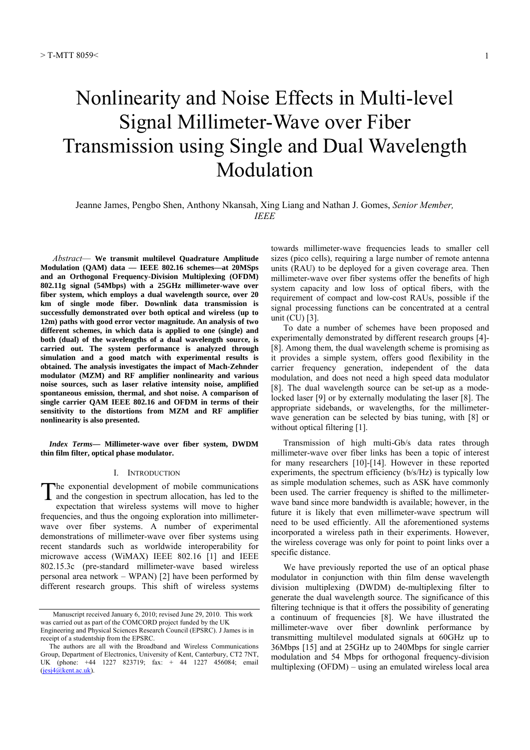# Nonlinearity and Noise Effects in Multi-level Signal Millimeter-Wave over Fiber Transmission using Single and Dual Wavelength Modulation

Jeanne James, Pengbo Shen, Anthony Nkansah, Xing Liang and Nathan J. Gomes, *Senior Member, IEEE*

*Abstract*ó **We transmit multilevel Quadrature Amplitude Modulation (QAM) data — IEEE 802.16 schemes—at 20MSps and an Orthogonal Frequency-Division Multiplexing (OFDM) 802.11g signal (54Mbps) with a 25GHz millimeter-wave over fiber system, which employs a dual wavelength source, over 20 km of single mode fiber. Downlink data transmission is successfully demonstrated over both optical and wireless (up to 12m) paths with good error vector magnitude. An analysis of two different schemes, in which data is applied to one (single) and both (dual) of the wavelengths of a dual wavelength source, is carried out. The system performance is analyzed through simulation and a good match with experimental results is obtained. The analysis investigates the impact of Mach-Zehnder modulator (MZM) and RF amplifier nonlinearity and various noise sources, such as laser relative intensity noise, amplified spontaneous emission, thermal, and shot noise. A comparison of single carrier QAM IEEE 802.16 and OFDM in terms of their sensitivity to the distortions from MZM and RF amplifier nonlinearity is also presented.** 

*Index Terms***— Millimeter-wave over fiber system, DWDM thin film filter, optical phase modulator.** 

#### I. INTRODUCTION

The exponential development of mobile communications<br>and the congestion in spectrum allocation, has led to the<br>window with the compact of the compact of the synchrone will may to higher and the congestion in spectrum allocation, has led to the expectation that wireless systems will move to higher frequencies, and thus the ongoing exploration into millimeterwave over fiber systems. A number of experimental demonstrations of millimeter-wave over fiber systems using recent standards such as worldwide interoperability for microwave access (WiMAX) IEEE 802.16 [1] and IEEE 802.15.3c (pre-standard millimeter-wave based wireless personal area network  $-$  WPAN) [2] have been performed by different research groups. This shift of wireless systems

towards millimeter-wave frequencies leads to smaller cell sizes (pico cells), requiring a large number of remote antenna units (RAU) to be deployed for a given coverage area. Then millimeter-wave over fiber systems offer the benefits of high system capacity and low loss of optical fibers, with the requirement of compact and low-cost RAUs, possible if the signal processing functions can be concentrated at a central unit (CU) [3].

To date a number of schemes have been proposed and experimentally demonstrated by different research groups [4]- [8]. Among them, the dual wavelength scheme is promising as it provides a simple system, offers good flexibility in the carrier frequency generation, independent of the data modulation, and does not need a high speed data modulator [8]. The dual wavelength source can be set-up as a modelocked laser [9] or by externally modulating the laser [8]. The appropriate sidebands, or wavelengths, for the millimeterwave generation can be selected by bias tuning, with [8] or without optical filtering [1].

Transmission of high multi-Gb/s data rates through millimeter-wave over fiber links has been a topic of interest for many researchers [10]-[14]. However in these reported experiments, the spectrum efficiency (b/s/Hz) is typically low as simple modulation schemes, such as ASK have commonly been used. The carrier frequency is shifted to the millimeterwave band since more bandwidth is available; however, in the future it is likely that even millimeter-wave spectrum will need to be used efficiently. All the aforementioned systems incorporated a wireless path in their experiments. However, the wireless coverage was only for point to point links over a specific distance.

We have previously reported the use of an optical phase modulator in conjunction with thin film dense wavelength division multiplexing (DWDM) de-multiplexing filter to generate the dual wavelength source. The significance of this filtering technique is that it offers the possibility of generating a continuum of frequencies [8]. We have illustrated the millimeter-wave over fiber downlink performance by transmitting multilevel modulated signals at 60GHz up to 36Mbps [15] and at 25GHz up to 240Mbps for single carrier modulation and 54 Mbps for orthogonal frequency-division multiplexing  $(OFDM)$  – using an emulated wireless local area

Manuscript received January 6, 2010; revised June 29, 2010. This work was carried out as part of the COMCORD project funded by the UK Engineering and Physical Sciences Research Council (EPSRC). J James is in receipt of a studentship from the EPSRC.

The authors are all with the Broadband and Wireless Communications Group, Department of Electronics, University of Kent, Canterbury, CT2 7NT, UK (phone: +44 1227 823719; fax: + 44 1227 456084; email (jesj4@kent.ac.uk).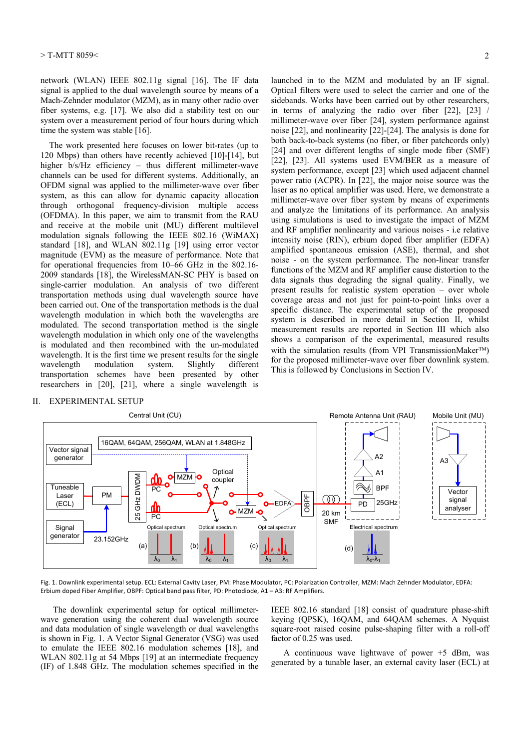network (WLAN) IEEE 802.11g signal [16]. The IF data signal is applied to the dual wavelength source by means of a Mach-Zehnder modulator (MZM), as in many other radio over fiber systems, e.g. [17]. We also did a stability test on our system over a measurement period of four hours during which time the system was stable [16].

 The work presented here focuses on lower bit-rates (up to 120 Mbps) than others have recently achieved [10]-[14], but higher  $b/s/Hz$  efficiency – thus different millimeter-wave channels can be used for different systems. Additionally, an OFDM signal was applied to the millimeter-wave over fiber system, as this can allow for dynamic capacity allocation through orthogonal frequency-division multiple access (OFDMA). In this paper, we aim to transmit from the RAU and receive at the mobile unit (MU) different multilevel modulation signals following the IEEE 802.16 (WiMAX) standard [18], and WLAN 802.11g [19] using error vector magnitude (EVM) as the measure of performance. Note that for operational frequencies from  $10-66$  GHz in the 802.16-2009 standards [18], the WirelessMAN-SC PHY is based on single-carrier modulation. An analysis of two different transportation methods using dual wavelength source have been carried out. One of the transportation methods is the dual wavelength modulation in which both the wavelengths are modulated. The second transportation method is the single wavelength modulation in which only one of the wavelengths is modulated and then recombined with the un-modulated wavelength. It is the first time we present results for the single wavelength modulation system. Slightly different transportation schemes have been presented by other researchers in [20], [21], where a single wavelength is launched in to the MZM and modulated by an IF signal. Optical filters were used to select the carrier and one of the sidebands. Works have been carried out by other researchers, in terms of analyzing the radio over fiber [22], [23] / millimeter-wave over fiber [24], system performance against noise [22], and nonlinearity [22]-[24]. The analysis is done for both back-to-back systems (no fiber, or fiber patchcords only) [24] and over different lengths of single mode fiber (SMF) [22], [23]. All systems used EVM/BER as a measure of system performance, except [23] which used adjacent channel power ratio (ACPR). In [22], the major noise source was the laser as no optical amplifier was used. Here, we demonstrate a millimeter-wave over fiber system by means of experiments and analyze the limitations of its performance. An analysis using simulations is used to investigate the impact of MZM and RF amplifier nonlinearity and various noises - i.e relative intensity noise (RIN), erbium doped fiber amplifier (EDFA) amplified spontaneous emission (ASE), thermal, and shot noise - on the system performance. The non-linear transfer functions of the MZM and RF amplifier cause distortion to the data signals thus degrading the signal quality. Finally, we present results for realistic system operation  $-$  over whole coverage areas and not just for point-to-point links over a specific distance. The experimental setup of the proposed system is described in more detail in Section II, whilst measurement results are reported in Section III which also shows a comparison of the experimental, measured results with the simulation results (from VPI TransmissionMaker<sup>TM</sup>) for the proposed millimeter-wave over fiber downlink system. This is followed by Conclusions in Section IV.



Fig. 1. Downlink experimental setup. ECL: External Cavity Laser, PM: Phase Modulator, PC: Polarization Controller, MZM: Mach Zehnder Modulator, EDFA: Erbium doped Fiber Amplifier, OBPF: Optical band pass filter, PD: Photodiode, A1 - A3: RF Amplifiers.

The downlink experimental setup for optical millimeterwave generation using the coherent dual wavelength source and data modulation of single wavelength or dual wavelengths is shown in Fig. 1. A Vector Signal Generator (VSG) was used to emulate the IEEE 802.16 modulation schemes [18], and WLAN 802.11g at 54 Mbps [19] at an intermediate frequency (IF) of 1.848 GHz. The modulation schemes specified in the IEEE 802.16 standard [18] consist of quadrature phase-shift keying (QPSK), 16QAM, and 64QAM schemes. A Nyquist square-root raised cosine pulse-shaping filter with a roll-off factor of 0.25 was used.

A continuous wave lightwave of power +5 dBm, was generated by a tunable laser, an external cavity laser (ECL) at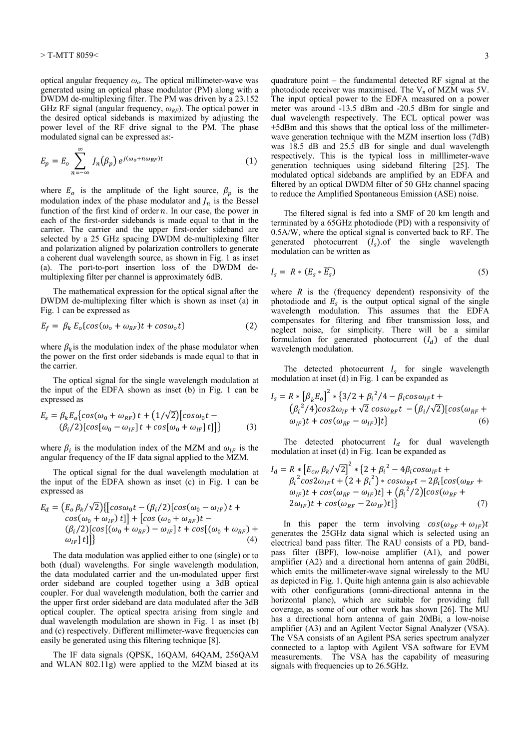optical angular frequency *のo*. The optical millimeter-wave was generated using an optical phase modulator (PM) along with a DWDM de-multiplexing filter. The PM was driven by a 23.152 GHz RF signal (angular frequency, *のRF*). The optical power in the desired optical sidebands is maximized by adjusting the power level of the RF drive signal to the PM. The phase modulated signal can be expressed as:-

$$
E_p = E_o \sum_{n=-\infty}^{\infty} J_n(\beta_p) e^{j(\omega_o + n\omega_{RF})t}
$$
 (1)

where  $E_o$  is the amplitude of the light source,  $\beta_p$  is the modulation index of the phase modulator and  $J_n$  is the Bessel function of the first kind of order  $n$ . In our case, the power in each of the first-order sidebands is made equal to that in the carrier. The carrier and the upper first-order sideband are selected by a 25 GHz spacing DWDM de-multiplexing filter and polarization aligned by polarization controllers to generate a coherent dual wavelength source, as shown in Fig. 1 as inset (a). The port-to-port insertion loss of the DWDM demultiplexing filter per channel is approximately 6dB.

The mathematical expression for the optical signal after the DWDM de-multiplexing filter which is shown as inset (a) in Fig. 1 can be expressed as

$$
E_f = \beta_k E_o \{ cos(\omega_o + \omega_{RF})t + cos\omega_o t \}
$$
 (2)

where  $\beta_k$  is the modulation index of the phase modulator when the power on the first order sidebands is made equal to that in the carrier.

The optical signal for the single wavelength modulation at the input of the EDFA shown as inset (b) in Fig. 1 can be expressed as

$$
E_s = \beta_k E_o \{ cos(\omega_0 + \omega_{RF}) t + (1/\sqrt{2}) [cos\omega_0 t - (\beta_i/2) [cos[\omega_0 - \omega_{IF}] t + cos[\omega_0 + \omega_{IF}] t] \}
$$
(3)

where  $\beta_i$  is the modulation index of the MZM and  $\omega_{IF}$  is the angular frequency of the IF data signal applied to the MZM.

The optical signal for the dual wavelength modulation at the input of the EDFA shown as inset (c) in Fig. 1 can be expressed as

$$
E_d = (E_o \beta_k / \sqrt{2}) \{ [\cos \omega_0 t - (\beta_i / 2)] \cos (\omega_0 - \omega_{IF}) t + \cos (\omega_0 + \omega_{IF}) t ] \} + [\cos (\omega_0 + \omega_{RF}) t - (\beta_i / 2) [\cos [(\omega_0 + \omega_{RF}) - \omega_{IF}] t + \cos [(\omega_0 + \omega_{RF}) + \omega_{IF}] t ] \} \tag{4}
$$

The data modulation was applied either to one (single) or to both (dual) wavelengths. For single wavelength modulation, the data modulated carrier and the un-modulated upper first order sideband are coupled together using a 3dB optical coupler. For dual wavelength modulation, both the carrier and the upper first order sideband are data modulated after the 3dB optical coupler. The optical spectra arising from single and dual wavelength modulation are shown in Fig. 1 as inset (b) and (c) respectively. Different millimeter-wave frequencies can easily be generated using this filtering technique [8].

The IF data signals (QPSK, 16QAM, 64QAM, 256QAM and WLAN 802.11g) were applied to the MZM biased at its quadrature point  $-$  the fundamental detected RF signal at the photodiode receiver was maximised. The  $V_{\pi}$  of MZM was 5V. The input optical power to the EDFA measured on a power meter was around -13.5 dBm and -20.5 dBm for single and dual wavelength respectively. The ECL optical power was +5dBm and this shows that the optical loss of the millimeterwave generation technique with the MZM insertion loss (7dB) was 18.5 dB and 25.5 dB for single and dual wavelength respectively. This is the typical loss in milllimeter-wave generation techniques using sideband filtering [25]. The modulated optical sidebands are amplified by an EDFA and filtered by an optical DWDM filter of 50 GHz channel spacing to reduce the Amplified Spontaneous Emission (ASE) noise.

The filtered signal is fed into a SMF of 20 km length and terminated by a 65GHz photodiode (PD) with a responsivity of 0.5A/W, where the optical signal is converted back to RF. The generated photocurrent  $(I<sub>s</sub>)$  of the single wavelength modulation can be written as

$$
I_s = R * (E_s * \overline{E_s}) \tag{5}
$$

where  $R$  is the (frequency dependent) responsivity of the photodiode and  $E_s$  is the output optical signal of the single wavelength modulation. This assumes that the EDFA compensates for filtering and fiber transmission loss, and neglect noise, for simplicity. There will be a similar formulation for generated photocurrent  $(I_d)$  of the dual wavelength modulation.

The detected photocurrent  $I_s$  for single wavelength modulation at inset (d) in Fig. 1 can be expanded as

$$
I_s = R * [\beta_k E_o]^2 * \{3/2 + \beta_i^2/4 - \beta_i cos \omega_{IF} t +
$$
  
\n
$$
(\beta_i^2/4) cos 2\omega_{IF} + \sqrt{2} cos \omega_{RF} t - (\beta_i/\sqrt{2}) [cos (\omega_{RF} + \omega_{IF}) t + cos (\omega_{RF} - \omega_{IF})]t \}
$$
  
\n(6)

The detected photocurrent  $I_d$  for dual wavelength modulation at inset (d) in Fig. 1can be expanded as

$$
I_{d} = R * [E_{cw} \beta_{k}/\sqrt{2}]^{2} * \{2 + \beta_{i}^{2} - 4\beta_{i}cos\omega_{IF}t + \beta_{i}^{2}cos2\omega_{IF}t + (2 + \beta_{i}^{2}) * cos\omega_{RF}t - 2\beta_{i}[cos(\omega_{RF} + \omega_{IF})t + cos(\omega_{RF} - \omega_{IF})t] + (\beta_{i}^{2}/2)[cos(\omega_{RF} + 2\omega_{IF})t + cos(\omega_{RF} - 2\omega_{IF})t]
$$
\n(7)

In this paper the term involving  $cos(\omega_{RF} + \omega_{IF})t$  generates the 25GHz data signal which is selected using an electrical band pass filter. The RAU consists of a PD, bandpass filter (BPF), low-noise amplifier (A1), and power amplifier (A2) and a directional horn antenna of gain 20dBi, which emits the millimeter-wave signal wirelessly to the MU as depicted in Fig. 1. Quite high antenna gain is also achievable with other configurations (omni-directional antenna in the horizontal plane), which are suitable for providing full coverage, as some of our other work has shown [26]. The MU has a directional horn antenna of gain 20dBi, a low-noise amplifier (A3) and an Agilent Vector Signal Analyzer (VSA). The VSA consists of an Agilent PSA series spectrum analyzer connected to a laptop with Agilent VSA software for EVM measurements. The VSA has the capability of measuring signals with frequencies up to 26.5GHz.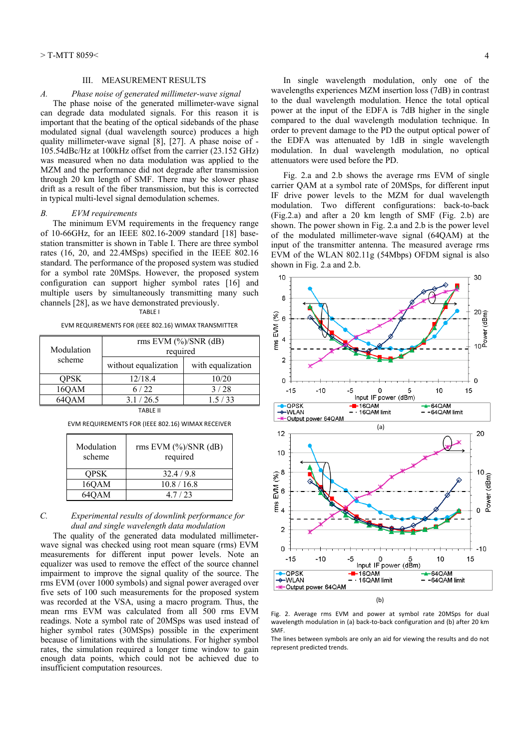#### III. MEASUREMENT RESULTS

#### *A. Phase noise of generated millimeter-wave signal*

The phase noise of the generated millimeter-wave signal can degrade data modulated signals. For this reason it is important that the beating of the optical sidebands of the phase modulated signal (dual wavelength source) produces a high quality millimeter-wave signal [8], [27]. A phase noise of - 105.54dBc/Hz at 100kHz offset from the carrier (23.152 GHz) was measured when no data modulation was applied to the MZM and the performance did not degrade after transmission through 20 km length of SMF. There may be slower phase drift as a result of the fiber transmission, but this is corrected in typical multi-level signal demodulation schemes.

#### *B. EVM requirements*

The minimum EVM requirements in the frequency range of 10-66GHz, for an IEEE 802.16-2009 standard [18] basestation transmitter is shown in Table I. There are three symbol rates (16, 20, and 22.4MSps) specified in the IEEE 802.16 standard. The performance of the proposed system was studied for a symbol rate 20MSps. However, the proposed system configuration can support higher symbol rates [16] and multiple users by simultaneously transmitting many such channels [28], as we have demonstrated previously. TABLE I

#### EVM REQUIREMENTS FOR (IEEE 802.16) WIMAX TRANSMITTER

| Modulation<br>scheme | rms EVM $(\frac{9}{6})$ /SNR (dB)<br>required |                   |  |  |  |  |
|----------------------|-----------------------------------------------|-------------------|--|--|--|--|
|                      | without equalization                          | with equalization |  |  |  |  |
| OPSK                 | 12/18.4                                       | 10/20             |  |  |  |  |
| 16QAM                | 6/22                                          | 3/28              |  |  |  |  |
| 64QAM                | 3.1/26.5                                      | 1.5/33            |  |  |  |  |
| <b>TABLE II</b>      |                                               |                   |  |  |  |  |

EVM REQUIREMENTS FOR (IEEE 802.16) WIMAX RECEIVER

| Modulation<br>scheme | rms EVM $(\%)/SNR$ (dB)<br>required |
|----------------------|-------------------------------------|
| <b>OPSK</b>          | 32.4/9.8                            |
| 160AM                | 10.8/16.8                           |
| 640AM                | 47/23                               |

#### *C. Experimental results of downlink performance for dual and single wavelength data modulation*

The quality of the generated data modulated millimeterwave signal was checked using root mean square (rms) EVM measurements for different input power levels. Note an equalizer was used to remove the effect of the source channel impairment to improve the signal quality of the source. The rms EVM (over 1000 symbols) and signal power averaged over five sets of 100 such measurements for the proposed system was recorded at the VSA, using a macro program. Thus, the mean rms EVM was calculated from all 500 rms EVM readings. Note a symbol rate of 20MSps was used instead of higher symbol rates (30MSps) possible in the experiment because of limitations with the simulations. For higher symbol rates, the simulation required a longer time window to gain enough data points, which could not be achieved due to insufficient computation resources.

In single wavelength modulation, only one of the wavelengths experiences MZM insertion loss (7dB) in contrast to the dual wavelength modulation. Hence the total optical power at the input of the EDFA is 7dB higher in the single compared to the dual wavelength modulation technique. In order to prevent damage to the PD the output optical power of the EDFA was attenuated by 1dB in single wavelength modulation. In dual wavelength modulation, no optical attenuators were used before the PD.

Fig. 2.a and 2.b shows the average rms EVM of single carrier QAM at a symbol rate of 20MSps, for different input IF drive power levels to the MZM for dual wavelength modulation. Two different configurations: back-to-back (Fig.2.a) and after a 20 km length of SMF (Fig. 2.b) are shown. The power shown in Fig. 2.a and 2.b is the power level of the modulated millimeter-wave signal (64QAM) at the input of the transmitter antenna. The measured average rms EVM of the WLAN 802.11g (54Mbps) OFDM signal is also shown in Fig. 2.a and 2.b.



Fig. 2. Average rms EVM and power at symbol rate 20MSps for dual wavelength modulation in (a) back-to-back configuration and (b) after 20 km SMF.

The lines between symbols are only an aid for viewing the results and do not represent predicted trends.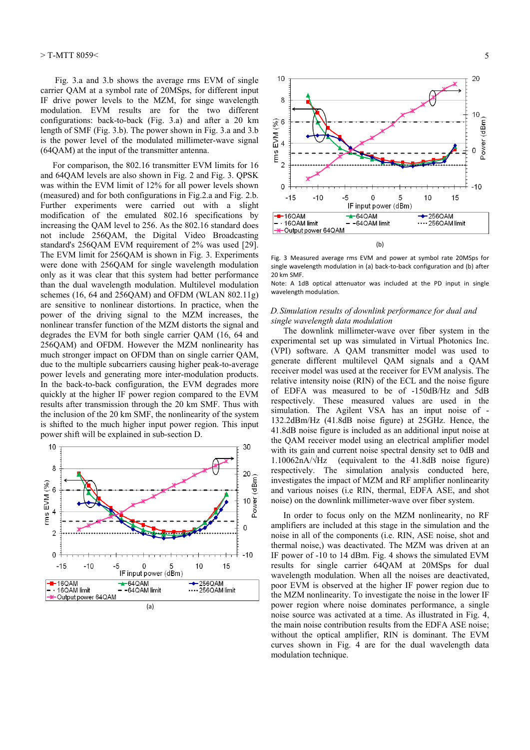#### $>$  T-MTT 8059 $<$  5

 Fig. 3.a and 3.b shows the average rms EVM of single carrier QAM at a symbol rate of 20MSps, for different input IF drive power levels to the MZM, for singe wavelength modulation. EVM results are for the two different configurations: back-to-back (Fig. 3.a) and after a 20 km length of SMF (Fig. 3.b). The power shown in Fig. 3.a and 3.b is the power level of the modulated millimeter-wave signal (64QAM) at the input of the transmitter antenna.

For comparison, the 802.16 transmitter EVM limits for 16 and 64QAM levels are also shown in Fig. 2 and Fig. 3. QPSK was within the EVM limit of 12% for all power levels shown (measured) and for both configurations in Fig.2.a and Fig. 2.b. Further experiments were carried out with a slight modification of the emulated 802.16 specifications by increasing the QAM level to 256. As the 802.16 standard does not include 256QAM, the Digital Video Broadcasting standard's 256QAM EVM requirement of 2% was used [29]. The EVM limit for 256QAM is shown in Fig. 3. Experiments were done with 256QAM for single wavelength modulation only as it was clear that this system had better performance than the dual wavelength modulation. Multilevel modulation schemes (16, 64 and 256QAM) and OFDM (WLAN 802.11g) are sensitive to nonlinear distortions. In practice, when the power of the driving signal to the MZM increases, the nonlinear transfer function of the MZM distorts the signal and degrades the EVM for both single carrier QAM (16, 64 and 256QAM) and OFDM. However the MZM nonlinearity has much stronger impact on OFDM than on single carrier QAM, due to the multiple subcarriers causing higher peak-to-average power levels and generating more inter-modulation products. In the back-to-back configuration, the EVM degrades more quickly at the higher IF power region compared to the EVM results after transmission through the 20 km SMF. Thus with the inclusion of the 20 km SMF, the nonlinearity of the system is shifted to the much higher input power region. This input power shift will be explained in sub-section D.





Fig. 3 Measured average rms EVM and power at symbol rate 20MSps for single wavelength modulation in (a) back-to-back configuration and (b) after 20 km SMF.

#### *D.Simulation results of downlink performance for dual and single wavelength data modulation*

The downlink millimeter-wave over fiber system in the experimental set up was simulated in Virtual Photonics Inc. (VPI) software. A QAM transmitter model was used to generate different multilevel QAM signals and a QAM receiver model was used at the receiver for EVM analysis. The relative intensity noise (RIN) of the ECL and the noise figure of EDFA was measured to be of -150dB/Hz and 5dB respectively. These measured values are used in the simulation. The Agilent VSA has an input noise of - 132.2dBm/Hz (41.8dB noise figure) at 25GHz. Hence, the 41.8dB noise figure is included as an additional input noise at the QAM receiver model using an electrical amplifier model with its gain and current noise spectral density set to 0dB and 1.10062nA/√Hz (equivalent to the 41.8dB noise figure) respectively. The simulation analysis conducted here, investigates the impact of MZM and RF amplifier nonlinearity and various noises (i.e RIN, thermal, EDFA ASE, and shot noise) on the downlink millimeter-wave over fiber system.

In order to focus only on the MZM nonlinearity, no RF amplifiers are included at this stage in the simulation and the noise in all of the components (i.e. RIN, ASE noise, shot and thermal noise,) was deactivated. The MZM was driven at an IF power of -10 to 14 dBm. Fig. 4 shows the simulated EVM results for single carrier 64QAM at 20MSps for dual wavelength modulation. When all the noises are deactivated, poor EVM is observed at the higher IF power region due to the MZM nonlinearity. To investigate the noise in the lower IF power region where noise dominates performance, a single noise source was activated at a time. As illustrated in Fig. 4, the main noise contribution results from the EDFA ASE noise; without the optical amplifier, RIN is dominant. The EVM curves shown in Fig. 4 are for the dual wavelength data modulation technique.

Note: A 1dB optical attenuator was included at the PD input in single wavelength modulation.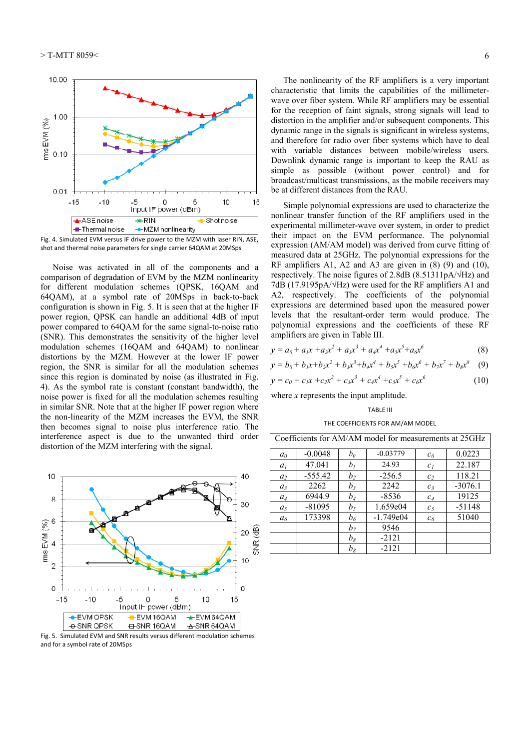

Fig. 4. Simulated EVM versus IF drive power to the MZM with laser RIN, ASE, shot and thermal noise parameters for single carrier 64QAM at 20MSps

Noise was activated in all of the components and a comparison of degradation of EVM by the MZM nonlinearity for different modulation schemes (QPSK, 16QAM and 64QAM), at a symbol rate of 20MSps in back-to-back configuration is shown in Fig. 5. It is seen that at the higher IF power region, QPSK can handle an additional 4dB of input power compared to 64QAM for the same signal-to-noise ratio (SNR). This demonstrates the sensitivity of the higher level modulation schemes (16QAM and 64QAM) to nonlinear distortions by the MZM. However at the lower IF power region, the SNR is similar for all the modulation schemes since this region is dominated by noise (as illustrated in Fig. 4). As the symbol rate is constant (constant bandwidth), the noise power is fixed for all the modulation schemes resulting in similar SNR. Note that at the higher IF power region where the non-linearity of the MZM increases the EVM, the SNR then becomes signal to noise plus interference ratio. The interference aspect is due to the unwanted third order distortion of the MZM interfering with the signal.



Fig. 5. Simulated EVM and SNR results versus different modulation schemes and for a symbol rate of 20MSps

The nonlinearity of the RF amplifiers is a very important characteristic that limits the capabilities of the millimeterwave over fiber system. While RF amplifiers may be essential for the reception of faint signals, strong signals will lead to distortion in the amplifier and/or subsequent components. This dynamic range in the signals is significant in wireless systems, and therefore for radio over fiber systems which have to deal with variable distances between mobile/wireless users. Downlink dynamic range is important to keep the RAU as simple as possible (without power control) and for broadcast/multicast transmissions, as the mobile receivers may be at different distances from the RAU.

Simple polynomial expressions are used to characterize the nonlinear transfer function of the RF amplifiers used in the experimental millimeter-wave over system, in order to predict their impact on the EVM performance. The polynomial expression (AM/AM model) was derived from curve fitting of measured data at 25GHz. The polynomial expressions for the RF amplifiers A1, A2 and A3 are given in (8) (9) and (10), respectively. The noise figures of 2.8dB (8.51311pA/√Hz) and 7dB (17.9195pA/√Hz) were used for the RF amplifiers A1 and A2, respectively. The coefficients of the polynomial expressions are determined based upon the measured power levels that the resultant-order term would produce. The polynomial expressions and the coefficients of these RF amplifiers are given in Table III.

$$
y = a_0 + a_1 x + a_2 x^2 + a_3 x^3 + a_4 x^4 + a_5 x^5 + a_6 x^6
$$
 (8)

$$
y = b_0 + b_1 x + b_2 x^2 + b_3 x^3 + b_4 x^4 + b_5 x^5 + b_6 x^6 + b_7 x^7 + b_8 x^8 \quad (9)
$$

$$
y = c_0 + c_1 x + c_2 x^2 + c_3 x^3 + c_4 x^4 + c_5 x^5 + c_6 x^6 \tag{10}
$$

where *x* represents the input amplitude.

#### TABLE III

#### THE COEFFICIENTS FOR AM/AM MODEL

| Coefficients for AM/AM model for measurements at 25GHz |           |                |             |                |           |  |  |
|--------------------------------------------------------|-----------|----------------|-------------|----------------|-----------|--|--|
| a <sub>0</sub>                                         | $-0.0048$ | $b_0$          | $-0.03779$  | $c_0$          | 0.0223    |  |  |
| a <sub>1</sub>                                         | 47.041    | b <sub>1</sub> | 24.93       | c <sub>1</sub> | 22.187    |  |  |
| a <sub>2</sub>                                         | $-555.42$ | b <sub>2</sub> | $-256.5$    | c <sub>2</sub> | 118.21    |  |  |
| $a_3$                                                  | 2262      | $b_3$          | 2242        | $C_3$          | $-3076.1$ |  |  |
| $a_4$                                                  | 6944.9    | $b_4$          | $-8536$     | $c_4$          | 19125     |  |  |
| a <sub>5</sub>                                         | $-81095$  | $b_5$          | 1.659e04    | c <sub>5</sub> | $-51148$  |  |  |
| a <sub>6</sub>                                         | 173398    | $b_6$          | $-1.749e04$ | c <sub>6</sub> | 51040     |  |  |
|                                                        |           | b <sub>7</sub> | 9546        |                |           |  |  |
|                                                        |           | $b_8$          | $-2121$     |                |           |  |  |
|                                                        |           | b8             | $-2121$     |                |           |  |  |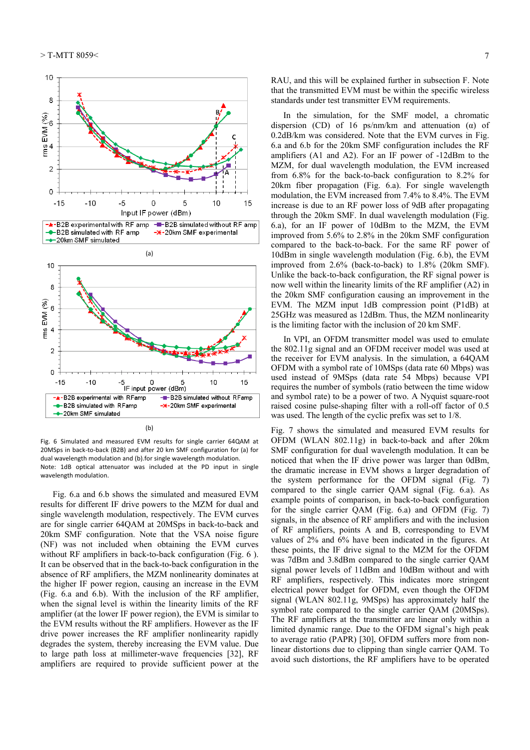

Fig. 6 Simulated and measured EVM results for single carrier 64QAM at 20MSps in back-to-back (B2B) and after 20 km SMF configuration for (a) for dual wavelength modulation and (b).for single wavelength modulation. Note: 1dB optical attenuator was included at the PD input in single wavelength modulation.

Fig. 6.a and 6.b shows the simulated and measured EVM results for different IF drive powers to the MZM for dual and single wavelength modulation, respectively. The EVM curves are for single carrier 64QAM at 20MSps in back-to-back and 20km SMF configuration. Note that the VSA noise figure (NF) was not included when obtaining the EVM curves without RF amplifiers in back-to-back configuration (Fig. 6 ). It can be observed that in the back-to-back configuration in the absence of RF amplifiers, the MZM nonlinearity dominates at the higher IF power region, causing an increase in the EVM (Fig. 6.a and 6.b). With the inclusion of the RF amplifier, when the signal level is within the linearity limits of the RF amplifier (at the lower IF power region), the EVM is similar to the EVM results without the RF amplifiers. However as the IF drive power increases the RF amplifier nonlinearity rapidly degrades the system, thereby increasing the EVM value. Due to large path loss at millimeter-wave frequencies [32], RF amplifiers are required to provide sufficient power at the RAU, and this will be explained further in subsection F. Note that the transmitted EVM must be within the specific wireless standards under test transmitter EVM requirements.

In the simulation, for the SMF model, a chromatic dispersion (CD) of 16 ps/nm/km and attenuation ( $\alpha$ ) of 0.2dB/km was considered. Note that the EVM curves in Fig. 6.a and 6.b for the 20km SMF configuration includes the RF amplifiers (A1 and A2). For an IF power of -12dBm to the MZM, for dual wavelength modulation, the EVM increased from 6.8% for the back-to-back configuration to 8.2% for 20km fiber propagation (Fig. 6.a). For single wavelength modulation, the EVM increased from 7.4% to 8.4%. The EVM increase is due to an RF power loss of 9dB after propagating through the 20km SMF. In dual wavelength modulation (Fig. 6.a), for an IF power of 10dBm to the MZM, the EVM improved from 5.6% to 2.8% in the 20km SMF configuration compared to the back-to-back. For the same RF power of 10dBm in single wavelength modulation (Fig. 6.b), the EVM improved from 2.6% (back-to-back) to 1.8% (20km SMF). Unlike the back-to-back configuration, the RF signal power is now well within the linearity limits of the RF amplifier (A2) in the 20km SMF configuration causing an improvement in the EVM. The MZM input 1dB compression point (P1dB) at 25GHz was measured as 12dBm. Thus, the MZM nonlinearity is the limiting factor with the inclusion of 20 km SMF.

In VPI, an OFDM transmitter model was used to emulate the 802.11g signal and an OFDM receiver model was used at the receiver for EVM analysis. In the simulation, a 64QAM OFDM with a symbol rate of 10MSps (data rate 60 Mbps) was used instead of 9MSps (data rate 54 Mbps) because VPI requires the number of symbols (ratio between the time widow and symbol rate) to be a power of two. A Nyquist square-root raised cosine pulse-shaping filter with a roll-off factor of 0.5 was used. The length of the cyclic prefix was set to 1/8.

Fig. 7 shows the simulated and measured EVM results for OFDM (WLAN 802.11g) in back-to-back and after 20km SMF configuration for dual wavelength modulation. It can be noticed that when the IF drive power was larger than 0dBm, the dramatic increase in EVM shows a larger degradation of the system performance for the OFDM signal (Fig. 7) compared to the single carrier QAM signal (Fig. 6.a). As example points of comparison, in back-to-back configuration for the single carrier QAM (Fig. 6.a) and OFDM (Fig. 7) signals, in the absence of RF amplifiers and with the inclusion of RF amplifiers, points A and B, corresponding to EVM values of 2% and 6% have been indicated in the figures. At these points, the IF drive signal to the MZM for the OFDM was 7dBm and 3.8dBm compared to the single carrier QAM signal power levels of 11dBm and 10dBm without and with RF amplifiers, respectively. This indicates more stringent electrical power budget for OFDM, even though the OFDM signal (WLAN 802.11g, 9MSps) has approximately half the symbol rate compared to the single carrier QAM (20MSps). The RF amplifiers at the transmitter are linear only within a limited dynamic range. Due to the OFDM signal's high peak to average ratio (PAPR) [30], OFDM suffers more from nonlinear distortions due to clipping than single carrier QAM. To avoid such distortions, the RF amplifiers have to be operated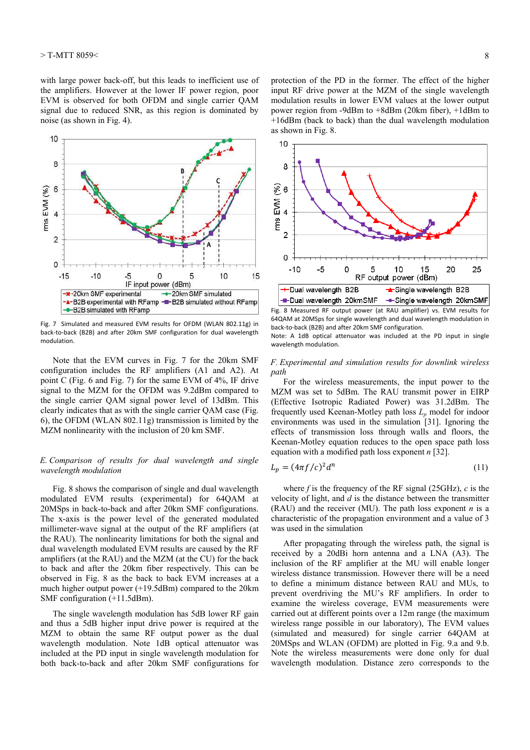with large power back-off, but this leads to inefficient use of the amplifiers. However at the lower IF power region, poor EVM is observed for both OFDM and single carrier QAM signal due to reduced SNR, as this region is dominated by noise (as shown in Fig. 4).



Fig. 7 Simulated and measured EVM results for OFDM (WLAN 802.11g) in back-to-back (B2B) and after 20km SMF configuration for dual wavelength modulation.

Note that the EVM curves in Fig. 7 for the 20km SMF configuration includes the RF amplifiers (A1 and A2). At point C (Fig. 6 and Fig. 7) for the same EVM of 4%, IF drive signal to the MZM for the OFDM was 9.2dBm compared to the single carrier QAM signal power level of 13dBm. This clearly indicates that as with the single carrier QAM case (Fig. 6), the OFDM (WLAN 802.11g) transmission is limited by the MZM nonlinearity with the inclusion of 20 km SMF.

#### *E. Comparison of results for dual wavelength and single wavelength modulation*

Fig. 8 shows the comparison of single and dual wavelength modulated EVM results (experimental) for 64QAM at 20MSps in back-to-back and after 20km SMF configurations. The x-axis is the power level of the generated modulated millimeter-wave signal at the output of the RF amplifiers (at the RAU). The nonlinearity limitations for both the signal and dual wavelength modulated EVM results are caused by the RF amplifiers (at the RAU) and the MZM (at the CU) for the back to back and after the 20km fiber respectively. This can be observed in Fig. 8 as the back to back EVM increases at a much higher output power (+19.5dBm) compared to the 20km SMF configuration (+11.5dBm).

The single wavelength modulation has 5dB lower RF gain and thus a 5dB higher input drive power is required at the MZM to obtain the same RF output power as the dual wavelength modulation. Note 1dB optical attenuator was included at the PD input in single wavelength modulation for both back-to-back and after 20km SMF configurations for protection of the PD in the former. The effect of the higher input RF drive power at the MZM of the single wavelength modulation results in lower EVM values at the lower output power region from -9dBm to +8dBm (20km fiber), +1dBm to +16dBm (back to back) than the dual wavelength modulation as shown in Fig. 8.



64QAM at 20MSps for single wavelength and dual wavelength modulation in back-to-back (B2B) and after 20km SMF configuration.

Note: A 1dB optical attenuator was included at the PD input in single wavelength modulation.

#### *F. Experimental and simulation results for downlink wireless path*

For the wireless measurements, the input power to the MZM was set to 5dBm. The RAU transmit power in EIRP (Effective Isotropic Radiated Power) was 31.2dBm. The frequently used Keenan-Motley path loss *Lp* model for indoor environments was used in the simulation [31]. Ignoring the effects of transmission loss through walls and floors, the Keenan-Motley equation reduces to the open space path loss equation with a modified path loss exponent *n* [32].

$$
L_p = (4\pi f/c)^2 d^n \tag{11}
$$

where *f* is the frequency of the RF signal (25GHz), *c* is the velocity of light, and *d* is the distance between the transmitter (RAU) and the receiver (MU). The path loss exponent *n* is a characteristic of the propagation environment and a value of 3 was used in the simulation

After propagating through the wireless path, the signal is received by a 20dBi horn antenna and a LNA (A3). The inclusion of the RF amplifier at the MU will enable longer wireless distance transmission. However there will be a need to define a minimum distance between RAU and MUs, to prevent overdriving the MU's RF amplifiers. In order to examine the wireless coverage, EVM measurements were carried out at different points over a 12m range (the maximum wireless range possible in our laboratory), The EVM values (simulated and measured) for single carrier 64QAM at 20MSps and WLAN (OFDM) are plotted in Fig. 9.a and 9.b. Note the wireless measurements were done only for dual wavelength modulation. Distance zero corresponds to the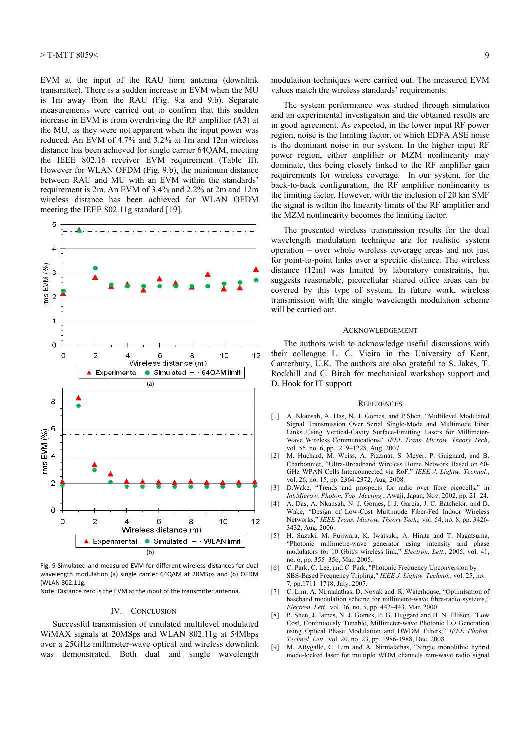#### $>$  T-MTT 8059 $<$ 9

EVM at the input of the RAU horn antenna (downlink transmitter). There is a sudden increase in EVM when the MU is 1m away from the RAU (Fig. 9.a and 9.b). Separate measurements were carried out to confirm that this sudden increase in EVM is from overdriving the RF amplifier (A3) at the MU, as they were not apparent when the input power was reduced. An EVM of 4.7% and 3.2% at 1m and 12m wireless distance has been achieved for single carrier 64QAM, meeting the IEEE 802.16 receiver EVM requirement (Table II). However for WLAN OFDM (Fig. 9.b), the minimum distance between RAU and MU with an EVM within the standards' requirement is 2m. An EVM of 3.4% and 2.2% at 2m and 12m wireless distance has been achieved for WLAN OFDM meeting the IEEE 802.11g standard [19].



Fig. 9 Simulated and measured EVM for different wireless distances for dual wavelength modulation (a) single carrier 64QAM at 20MSps and (b) OFDM (WLAN 802.11g.

Note: Distance zero is the EVM at the input of the transmitter antenna.

#### IV. CONCLUSION

Successful transmission of emulated multilevel modulated WiMAX signals at 20MSps and WLAN 802.11g at 54Mbps over a 25GHz millimeter-wave optical and wireless downlink was demonstrated. Both dual and single wavelength modulation techniques were carried out. The measured EVM values match the wireless standards' requirements.

The system performance was studied through simulation and an experimental investigation and the obtained results are in good agreement. As expected, in the lower input RF power region, noise is the limiting factor, of which EDFA ASE noise is the dominant noise in our system. In the higher input RF power region, either amplifier or MZM nonlinearity may dominate, this being closely linked to the RF amplifier gain requirements for wireless coverage. In our system, for the back-to-back configuration, the RF amplifier nonlinearity is the limiting factor. However, with the inclusion of 20 km SMF the signal is within the linearity limits of the RF amplifier and the MZM nonlinearity becomes the limiting factor.

The presented wireless transmission results for the dual wavelength modulation technique are for realistic system  $o$  operation  $-$  over whole wireless coverage areas and not just for point-to-point links over a specific distance. The wireless distance (12m) was limited by laboratory constraints, but suggests reasonable, picocellular shared office areas can be covered by this type of system. In future work, wireless transmission with the single wavelength modulation scheme will be carried out.

#### ACKNOWLEDGEMENT

The authors wish to acknowledge useful discussions with their colleague L. C. Vieira in the University of Kent, Canterbury, U.K. The authors are also grateful to S. Jakes, T. Rockhill and C. Birch for mechanical workshop support and D. Hook for IT support

#### **REFERENCES**

- [1] A. Nkansah, A. Das, N. J. Gomes, and P. Shen, "Multilevel Modulated Signal Transmission Over Serial Single-Mode and Multimode Fiber Links Using Vertical-Cavity Surface-Emitting Lasers for Millimeter-Wave Wireless Communications," IEEE Trans. Microw. Theory Tech, vol. 55, no. 6, pp.1219-1228, Aug. 2007.
- [2] M. Huchard, M. Weiss, A. Pizzinat, S. Meyer, P. Guignard, and B. Charbonnier, "Ultra-Broadband Wireless Home Network Based on 60-GHz WPAN Cells Interconnected via RoF," IEEE J. Lightw. Technol., vol. 26, no. 15, pp. 2364-2372, Aug. 2008.
- [3] D.Wake, "Trends and prospects for radio over fibre picocells," in *Int.Microw. Photon. Top. Meeting*, Awaji, Japan, Nov. 2002, pp. 21-24.
- [4] A. Das, A. Nkansah, N. J. Gomes, I. J. Garcia, J. C. Batchelor, and D. Wake, "Design of Low-Cost Multimode Fiber-Fed Indoor Wireless Networks," IEEE Trans. Microw. Theory Tech., vol. 54, no. 8, pp. 3426-3432, Aug. 2006.
- [5] H. Suzuki, M. Fujiwara, K. Iwatsuki, A. Hirata and T. Nagatsuma, ìPhotonic millimetre-wave generator using intensity and phase modulators for 10 Gbit/s wireless link," *Electron. Lett.*, 2005, vol. 41, no. 6, pp. 355-356, Mar. 2005.
- [6] C. Park, C. Lee, and C. Park, "Photonic Frequency Upconversion by SBS-Based Frequency Tripling," *IEEE J. Lightw. Technol.*, vol. 25, no. 7, pp.1711–1718, July. 2007.
- [7] C. Lim, A. Nirmalathas, D. Novak and. R. Waterhouse, "Optimisation of baseband modulation scheme for millimetre-wave fibre-radio systems, *Electron. Lett., vol.* 36, no. 5, pp. 442–443, Mar. 2000.
- [8] P. Shen, J. James, N. J. Gomes, P. G. Huggard and B. N. Ellison, "Low Cost, Continuously Tunable, Millimeter-wave Photonic LO Generation using Optical Phase Modulation and DWDM Filters," IEEE Photon. *Technol. Lett*., vol. 20, no. 23, pp. 1986-1988, Dec. 2008
- [9] M. Attygalle, C. Lim and A. Nirmalathas, "Single monolithic hybrid mode-locked laser for multiple WDM channels mm-wave radio signal